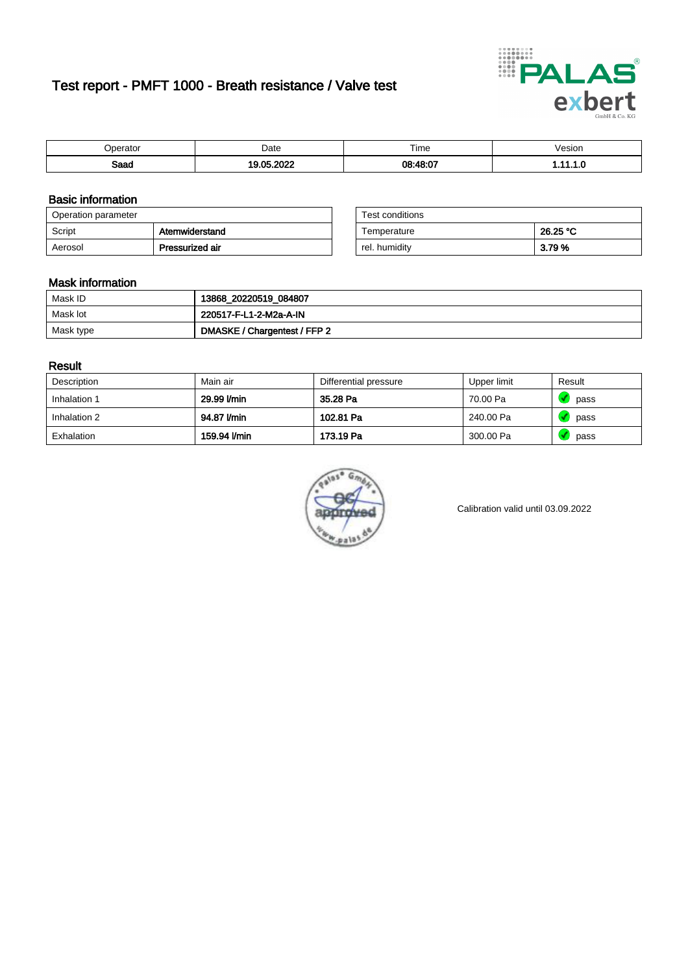# Test report - PMFT 1000 - Breath resistance / Valve test



| maxmax | Date | $- \cdot$<br>Time | esion/ |
|--------|------|-------------------|--------|
| Saad   | 000  | 08.18.07          | .      |

### Basic information

| Operation parameter |                 | Test conditions |          |
|---------------------|-----------------|-----------------|----------|
| Script              | Atemwiderstand  | Temperature     | 26.25 °C |
| Aerosol             | Pressurized air | rel. humidity   | 3.79 %   |

| Test conditions |          |
|-----------------|----------|
| Temperature     | 26.25 °C |
| rel. humidity   | 3.79%    |

### Mask information

| Mask ID   | 13868_20220519_084807        |
|-----------|------------------------------|
| Mask lot  | 220517-F-L1-2-M2a-A-IN       |
| Mask type | DMASKE / Chargentest / FFP 2 |

### Result

| Description  | Main air     | Differential pressure | Upper limit | Result |
|--------------|--------------|-----------------------|-------------|--------|
| Inhalation 1 | 29.99 l/min  | 35.28 Pa              | 70.00 Pa    | pass   |
| Inhalation 2 | 94.87 I/min  | 102.81 Pa             | 240.00 Pa   | pass   |
| Exhalation   | 159.94 l/min | 173.19 Pa             | 300.00 Pa   | pass   |



Calibration valid until 03.09.2022